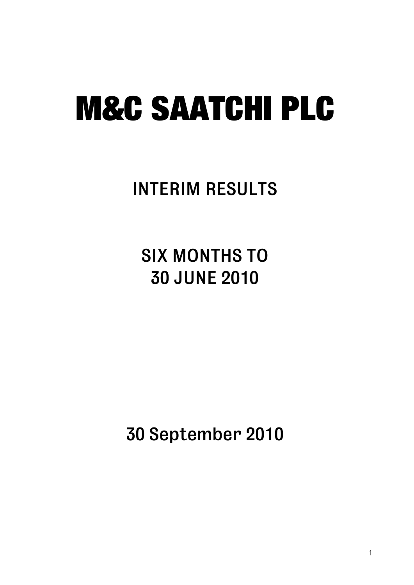### INTERIM RESULTS

SIX MONTHS TO 30 JUNE 2010

30 September 2010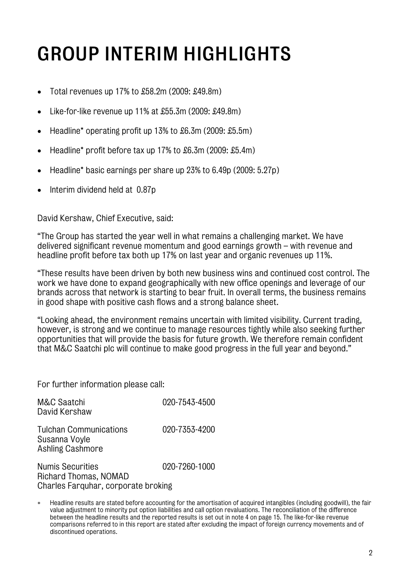## GROUP INTERIM HIGHLIGHTS

- Total revenues up 17% to £58.2m (2009: £49.8m)
- Like-for-like revenue up 11% at £55.3m (2009: £49.8m)
- Headline\* operating profit up 13% to £6.3m (2009: £5.5m)
- Headline\* profit before tax up 17% to £6.3m (2009: £5.4m)
- Headline\* basic earnings per share up 23% to 6.49p (2009: 5.27p)
- Interim dividend held at 0.87p

David Kershaw, Chief Executive, said:

"The Group has started the year well in what remains a challenging market. We have delivered significant revenue momentum and good earnings growth – with revenue and headline profit before tax both up 17% on last year and organic revenues up 11%.

"These results have been driven by both new business wins and continued cost control. The work we have done to expand geographically with new office openings and leverage of our brands across that network is starting to bear fruit. In overall terms, the business remains in good shape with positive cash flows and a strong balance sheet.

"Looking ahead, the environment remains uncertain with limited visibility. Current trading, however, is strong and we continue to manage resources tightly while also seeking further opportunities that will provide the basis for future growth. We therefore remain confident that M&C Saatchi plc will continue to make good progress in the full year and beyond."

For further information please call:

| M&C Saatchi<br>David Kershaw                                              | 020-7543-4500 |
|---------------------------------------------------------------------------|---------------|
| <b>Tulchan Communications</b><br>Susanna Voyle<br><b>Ashling Cashmore</b> | 020-7353-4200 |
| <b>Numis Securities</b><br>Richard Thomas, NOMAD                          | 020-7260-1000 |

Charles Farquhar, corporate broking

<sup>∗</sup> Headline results are stated before accounting for the amortisation of acquired intangibles (including goodwill), the fair value adjustment to minority put option liabilities and call option revaluations. The reconciliation of the difference between the headline results and the reported results is set out in note 4 on page 15. The like-for-like revenue comparisons referred to in this report are stated after excluding the impact of foreign currency movements and of discontinued operations.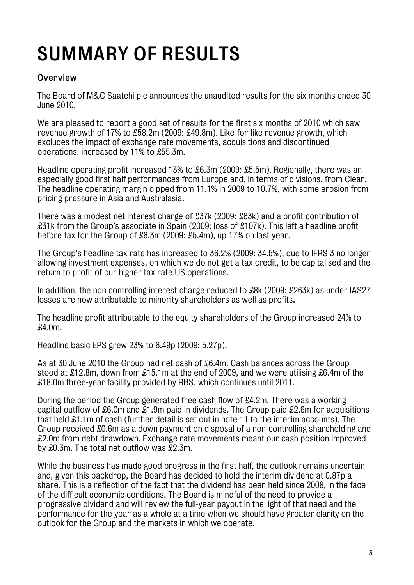## SUMMARY OF RESULTS

#### **Overview**

The Board of M&C Saatchi plc announces the unaudited results for the six months ended 30 June 2010.

We are pleased to report a good set of results for the first six months of 2010 which saw revenue growth of 17% to £58.2m (2009: £49.8m). Like-for-like revenue growth, which excludes the impact of exchange rate movements, acquisitions and discontinued operations, increased by 11% to £55.3m.

Headline operating profit increased 13% to £6.3m (2009: £5.5m). Regionally, there was an especially good first half performances from Europe and, in terms of divisions, from Clear. The headline operating margin dipped from 11.1% in 2009 to 10.7%, with some erosion from pricing pressure in Asia and Australasia.

There was a modest net interest charge of £37k (2009: £63k) and a profit contribution of £31k from the Group's associate in Spain (2009: loss of £107k). This left a headline profit before tax for the Group of £6.3m (2009: £5.4m), up 17% on last year.

The Group's headline tax rate has increased to 36.2% (2009: 34.5%), due to IFRS 3 no longer allowing investment expenses, on which we do not get a tax credit, to be capitalised and the return to profit of our higher tax rate US operations.

In addition, the non controlling interest charge reduced to £8k (2009: £263k) as under IAS27 losses are now attributable to minority shareholders as well as profits.

The headline profit attributable to the equity shareholders of the Group increased 24% to £4.0m.

Headline basic EPS grew 23% to 6.49p (2009: 5.27p).

As at 30 June 2010 the Group had net cash of £6.4m. Cash balances across the Group stood at £12.8m, down from £15.1m at the end of 2009, and we were utilising £6.4m of the £18.0m three-year facility provided by RBS, which continues until 2011.

During the period the Group generated free cash flow of £4.2m. There was a working capital outflow of £6.0m and £1.9m paid in dividends. The Group paid £2.6m for acquisitions that held £1.1m of cash (further detail is set out in note 11 to the interim accounts). The Group received £0.6m as a down payment on disposal of a non-controlling shareholding and £2.0m from debt drawdown. Exchange rate movements meant our cash position improved by £0.3m. The total net outflow was £2.3m.

While the business has made good progress in the first half, the outlook remains uncertain and, given this backdrop, the Board has decided to hold the interim dividend at 0.87p a share. This is a reflection of the fact that the dividend has been held since 2008, in the face of the difficult economic conditions. The Board is mindful of the need to provide a progressive dividend and will review the full-year payout in the light of that need and the performance for the year as a whole at a time when we should have greater clarity on the outlook for the Group and the markets in which we operate.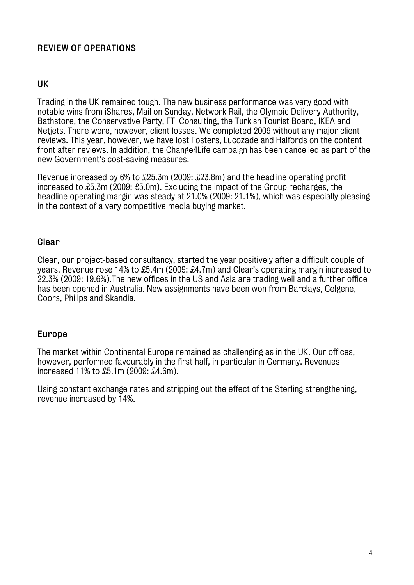#### REVIEW OF OPERATIONS

#### UK

Trading in the UK remained tough. The new business performance was very good with notable wins from iShares, Mail on Sunday, Network Rail, the Olympic Delivery Authority, Bathstore, the Conservative Party, FTI Consulting, the Turkish Tourist Board, IKEA and Netjets. There were, however, client losses. We completed 2009 without any major client reviews. This year, however, we have lost Fosters, Lucozade and Halfords on the content front after reviews. In addition, the Change4Life campaign has been cancelled as part of the new Government's cost-saving measures.

Revenue increased by 6% to £25.3m (2009: £23.8m) and the headline operating profit increased to £5.3m (2009: £5.0m). Excluding the impact of the Group recharges, the headline operating margin was steady at 21.0% (2009: 21.1%), which was especially pleasing in the context of a very competitive media buying market.

#### Clear

Clear, our project-based consultancy, started the year positively after a difficult couple of years. Revenue rose 14% to £5.4m (2009: £4.7m) and Clear's operating margin increased to 22.3% (2009: 19.6%).The new offices in the US and Asia are trading well and a further office has been opened in Australia. New assignments have been won from Barclays, Celgene, Coors, Philips and Skandia.

#### Europe

The market within Continental Europe remained as challenging as in the UK. Our offices, however, performed favourably in the first half, in particular in Germany. Revenues increased 11% to £5.1m (2009: £4.6m).

Using constant exchange rates and stripping out the effect of the Sterling strengthening, revenue increased by 14%.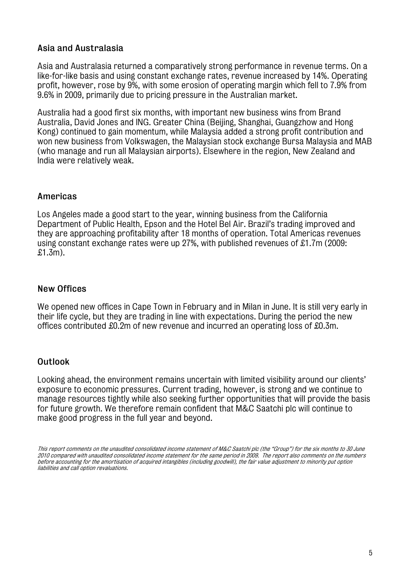#### Asia and Australasia

Asia and Australasia returned a comparatively strong performance in revenue terms. On a like-for-like basis and using constant exchange rates, revenue increased by 14%. Operating profit, however, rose by 9%, with some erosion of operating margin which fell to 7.9% from 9.6% in 2009, primarily due to pricing pressure in the Australian market.

Australia had a good first six months, with important new business wins from Brand Australia, David Jones and ING. Greater China (Beijing, Shanghai, Guangzhow and Hong Kong) continued to gain momentum, while Malaysia added a strong profit contribution and won new business from Volkswagen, the Malaysian stock exchange Bursa Malaysia and MAB (who manage and run all Malaysian airports). Elsewhere in the region, New Zealand and India were relatively weak.

#### Americas

Los Angeles made a good start to the year, winning business from the California Department of Public Health, Epson and the Hotel Bel Air. Brazil's trading improved and they are approaching profitability after 18 months of operation. Total Americas revenues using constant exchange rates were up 27%, with published revenues of £1.7m (2009: £1.3m).

#### New Offices

We opened new offices in Cape Town in February and in Milan in June. It is still very early in their life cycle, but they are trading in line with expectations. During the period the new offices contributed £0.2m of new revenue and incurred an operating loss of £0.3m.

#### **Outlook**

Looking ahead, the environment remains uncertain with limited visibility around our clients' exposure to economic pressures. Current trading, however, is strong and we continue to manage resources tightly while also seeking further opportunities that will provide the basis for future growth. We therefore remain confident that M&C Saatchi plc will continue to make good progress in the full year and beyond.

This report comments on the unaudited consolidated income statement of M&C Saatchi plc (the "Group") for the six months to 30 June 2010 compared with unaudited consolidated income statement for the same period in 2009. The report also comments on the numbers before accounting for the amortisation of acquired intangibles (including goodwill), the fair value adjustment to minority put option liabilities and call option revaluations.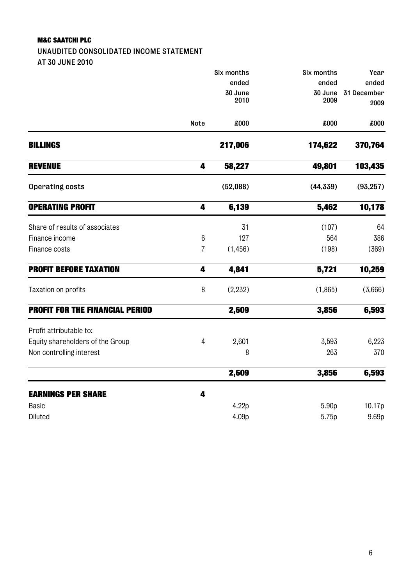UNAUDITED CONSOLIDATED INCOME STATEMENT AT 30 JUNE 2010

|                                        |                | Six months | Six months | Year        |
|----------------------------------------|----------------|------------|------------|-------------|
|                                        |                | ended      | ended      | ended       |
|                                        |                | 30 June    | 30 June    | 31 December |
|                                        |                | 2010       | 2009       | 2009        |
|                                        | Note           | £000       | £000       | £000        |
| <b>BILLINGS</b>                        |                | 217,006    | 174,622    | 370,764     |
| <b>REVENUE</b>                         | 4              | 58,227     | 49,801     | 103,435     |
| <b>Operating costs</b>                 |                | (52,088)   | (44, 339)  | (93, 257)   |
| <b>OPERATING PROFIT</b>                | 4              | 6,139      | 5,462      | 10,178      |
| Share of results of associates         |                | 31         | (107)      | 64          |
| Finance income                         | $6\,$          | 127        | 564        | 386         |
| Finance costs                          | $\overline{1}$ | (1, 456)   | (198)      | (369)       |
| <b>PROFIT BEFORE TAXATION</b>          | 4              | 4,841      | 5,721      | 10,259      |
| Taxation on profits                    | 8              | (2, 232)   | (1,865)    | (3,666)     |
| <b>PROFIT FOR THE FINANCIAL PERIOD</b> |                | 2,609      | 3,856      | 6,593       |
| Profit attributable to:                |                |            |            |             |
| Equity shareholders of the Group       | $\overline{4}$ | 2,601      | 3,593      | 6,223       |
| Non controlling interest               |                | 8          | 263        | 370         |
|                                        |                | 2,609      | 3,856      | 6,593       |
| <b>EARNINGS PER SHARE</b>              | 4              |            |            |             |
| <b>Basic</b>                           |                | 4.22p      | 5.90p      | 10.17p      |
| Diluted                                |                | 4.09p      | 5.75p      | 9.69p       |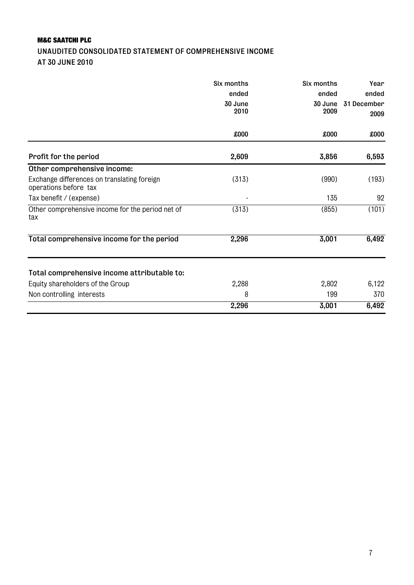#### M&C SAATCHI PLC UNAUDITED CONSOLIDATED STATEMENT OF COMPREHENSIVE INCOME AT 30 JUNE 2010

|                                                                      | Six months | Six months | Year        |
|----------------------------------------------------------------------|------------|------------|-------------|
|                                                                      | ended      | ended      | ended       |
|                                                                      | 30 June    | 30 June    | 31 December |
|                                                                      | 2010       | 2009       | 2009        |
|                                                                      | £000       | £000       | 000x        |
| Profit for the period                                                | 2,609      | 3,856      | 6,593       |
| Other comprehensive income:                                          |            |            |             |
| Exchange differences on translating foreign<br>operations before tax | (313)      | (990)      | (193)       |
| Tax benefit / (expense)                                              |            | 135        | 92          |
| Other comprehensive income for the period net of<br>tax              | (313)      | (855)      | (101)       |
| Total comprehensive income for the period                            | 2,296      | 3,001      | 6,492       |
| Total comprehensive income attributable to:                          |            |            |             |
| Equity shareholders of the Group                                     | 2,288      | 2,802      | 6,122       |
| Non controlling interests                                            | 8          | 199        | 370         |
|                                                                      | 2,296      | 3,001      | 6,492       |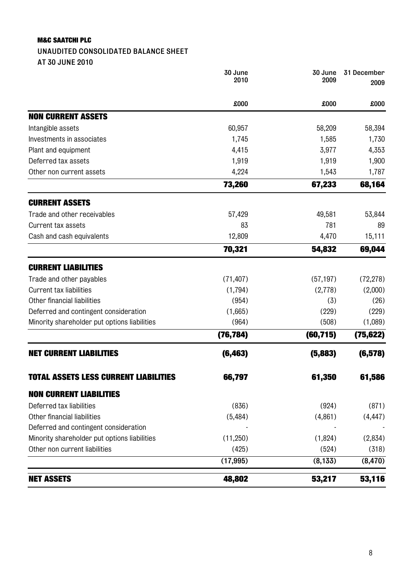#### UNAUDITED CONSOLIDATED BALANCE SHEET

AT 30 JUNE 2010

|                                              | 30 June<br>2010 | 30 June<br>2009 | 31 December<br>2009 |
|----------------------------------------------|-----------------|-----------------|---------------------|
|                                              | £000            | £000            | £000                |
| <b>NON CURRENT ASSETS</b>                    |                 |                 |                     |
| Intangible assets                            | 60,957          | 58,209          | 58,394              |
| Investments in associates                    | 1,745           | 1,585           | 1,730               |
| Plant and equipment                          | 4,415           | 3,977           | 4,353               |
| Deferred tax assets                          | 1,919           | 1,919           | 1,900               |
| Other non current assets                     | 4,224           | 1,543           | 1,787               |
|                                              | 73,260          | 67,233          | 68,164              |
| <b>CURRENT ASSETS</b>                        |                 |                 |                     |
| Trade and other receivables                  | 57,429          | 49,581          | 53,844              |
| Current tax assets                           | 83              | 781             | 89                  |
| Cash and cash equivalents                    | 12,809          | 4,470           | 15,111              |
|                                              | 70,321          | 54,832          | 69,044              |
| <b>CURRENT LIABILITIES</b>                   |                 |                 |                     |
| Trade and other payables                     | (71, 407)       | (57, 197)       | (72, 278)           |
| Current tax liabilities                      | (1,794)         | (2,778)         | (2,000)             |
| Other financial liabilities                  | (954)           | (3)             | (26)                |
| Deferred and contingent consideration        | (1,665)         | (229)           | (229)               |
| Minority shareholder put options liabilities | (964)           | (508)           | (1,089)             |
|                                              | (76, 784)       | (60, 715)       | (75, 622)           |
| <b>NET CURRENT LIABILITIES</b>               | (6, 463)        | (5,883)         | (6, 578)            |
| <b>TOTAL ASSETS LESS CURRENT LIABILITIES</b> | 66,797          | 61,350          | 61,586              |
| <b>NON CURRENT LIABILITIES</b>               |                 |                 |                     |
| Deferred tax liabilities                     | (836)           | (924)           | (871)               |
| Other financial liabilities                  | (5, 484)        | (4,861)         | (4, 447)            |
| Deferred and contingent consideration        |                 |                 |                     |
| Minority shareholder put options liabilities | (11,250)        | (1,824)         | (2,834)             |
| Other non current liabilities                | (425)           | (524)           | (318)               |
|                                              | (17, 995)       | (8, 133)        | (8, 470)            |
| <b>NET ASSETS</b>                            | 48,802          | 53,217          | 53,116              |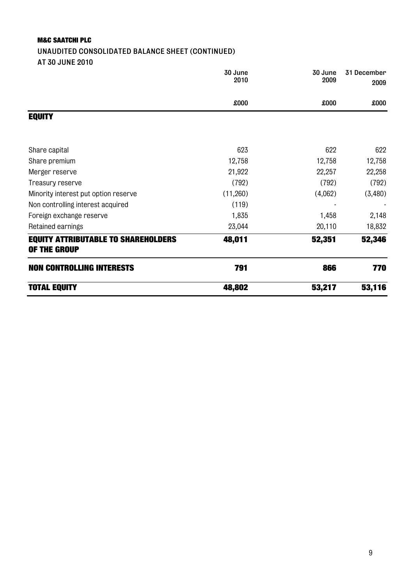### UNAUDITED CONSOLIDATED BALANCE SHEET (CONTINUED)

AT 30 JUNE 2010

|                                                            | 30 June<br>2010 | 30 June<br>2009 | 31 December<br>2009 |
|------------------------------------------------------------|-----------------|-----------------|---------------------|
|                                                            | £000            | £000            | 000x                |
| <b>EQUITY</b>                                              |                 |                 |                     |
| Share capital                                              | 623             | 622             | 622                 |
| Share premium                                              | 12,758          | 12,758          | 12,758              |
| Merger reserve                                             | 21,922          | 22,257          | 22,258              |
| Treasury reserve                                           | (792)           | (792)           | (792)               |
| Minority interest put option reserve                       | (11,260)        | (4,062)         | (3,480)             |
| Non controlling interest acquired                          | (119)           |                 |                     |
| Foreign exchange reserve                                   | 1,835           | 1,458           | 2,148               |
| Retained earnings                                          | 23,044          | 20,110          | 18,832              |
| <b>EQUITY ATTRIBUTABLE TO SHAREHOLDERS</b><br>OF THE GROUP | 48,011          | 52,351          | 52,346              |
| <b>NON CONTROLLING INTERESTS</b>                           | 791             | 866             | 770                 |
| <b>TOTAL EQUITY</b>                                        | 48,802          | 53,217          | 53,116              |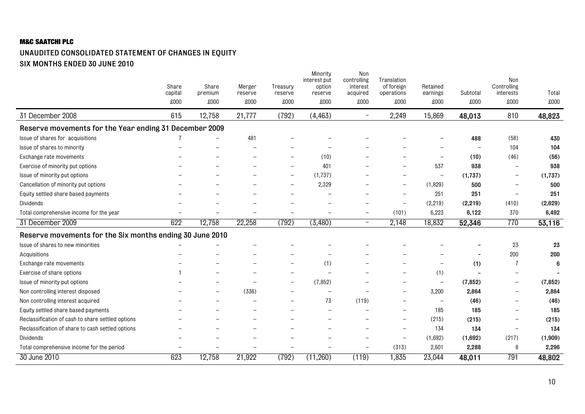#### UNAUDITED CONSOLIDATED STATEMENT OF CHANGES IN EQUITY SIX MONTHS ENDED 30 JUNE 2010

|                                                          | Share<br>capital | Share<br>premium         | Merger<br>reserve | Treasury<br>reserve      | Minority<br>interest put<br>option<br>reserve | Non<br>controlling<br>interest<br>acquired | Translation<br>of foreign<br>operations | Retained<br>earnings     | Subtotal | Non<br>Controlling<br>interests | Total    |
|----------------------------------------------------------|------------------|--------------------------|-------------------|--------------------------|-----------------------------------------------|--------------------------------------------|-----------------------------------------|--------------------------|----------|---------------------------------|----------|
|                                                          | £000             | £000                     | £000              | £000                     | £000                                          | £000                                       | £000                                    | £000                     | £000     | £000                            | £000     |
| 31 December 2008                                         | 615              | 12,758                   | 21,777            | (792)                    | (4, 463)                                      | $\overline{\phantom{m}}$                   | 2,249                                   | 15,869                   | 48,013   | 810                             | 48,823   |
| Reserve movements for the Year ending 31 December 2009   |                  |                          |                   |                          |                                               |                                            |                                         |                          |          |                                 |          |
| Issue of shares for acquisitions                         |                  |                          | 481               |                          |                                               |                                            |                                         |                          | 488      | (58)                            | 430      |
| Issue of shares to minority                              |                  |                          |                   |                          |                                               |                                            |                                         |                          |          | 104                             | 104      |
| Exchange rate movements                                  |                  |                          |                   |                          | (10)                                          |                                            |                                         | $\overline{\phantom{0}}$ | (10)     | (46)                            | (56)     |
| Exercise of minority put options                         |                  |                          |                   | $\overline{\phantom{0}}$ | 401                                           |                                            | $\overline{\phantom{0}}$                | 537                      | 938      | $\overline{\phantom{m}}$        | 938      |
| Issue of minority put options                            |                  |                          |                   | $\overline{\phantom{0}}$ | (1,737)                                       |                                            |                                         | $\qquad \qquad -$        | (1,737)  | $\qquad \qquad -$               | (1,737)  |
| Cancellation of minority put options                     |                  |                          |                   |                          | 2,329                                         |                                            |                                         | (1,829)                  | 500      | $\overline{\phantom{0}}$        | 500      |
| Equity settled share based payments                      |                  |                          |                   |                          |                                               |                                            | $\overline{\phantom{a}}$                | 251                      | 251      |                                 | 251      |
| Dividends                                                |                  |                          |                   |                          |                                               |                                            | $\overline{\phantom{a}}$                | (2,219)                  | (2, 219) | (410)                           | (2,629)  |
| Total comprehensive income for the year                  |                  |                          |                   |                          | $\overline{\phantom{0}}$                      | $\overline{\phantom{m}}$                   | (101)                                   | 6,223                    | 6,122    | 370                             | 6,492    |
| 31 December 2009                                         | 622              | 12,758                   | 22,258            | (792)                    | (3,480)                                       | $\qquad \qquad -$                          | 2,148                                   | 18,832                   | 52,346   | 770                             | 53,116   |
| Reserve movements for the Six months ending 30 June 2010 |                  |                          |                   |                          |                                               |                                            |                                         |                          |          |                                 |          |
| Issue of shares to new minorities                        |                  |                          |                   |                          |                                               |                                            |                                         |                          |          | 23                              | 23       |
| Acquisitions                                             |                  |                          |                   |                          |                                               |                                            |                                         |                          |          | 200                             | 200      |
| Exchange rate movements                                  |                  |                          |                   |                          | (1)                                           |                                            |                                         |                          | (1)      | $\overline{7}$                  | 6        |
| Exercise of share options                                |                  |                          |                   |                          |                                               |                                            |                                         | (1)                      |          |                                 |          |
| Issue of minority put options                            |                  |                          |                   |                          | (7, 852)                                      |                                            |                                         | $\overline{\phantom{0}}$ | (7, 852) | $\overline{\phantom{0}}$        | (7, 852) |
| Non controlling interest disposed                        |                  | $\overline{\phantom{0}}$ | (336)             |                          | $\overline{\phantom{0}}$                      |                                            | $\overline{\phantom{m}}$                | 3,200                    | 2,864    | $\overline{\phantom{m}}$        | 2,864    |
| Non controlling interest acquired                        |                  |                          |                   |                          | 73                                            | (119)                                      | $\overline{\phantom{0}}$                | $\overline{\phantom{0}}$ | (46)     |                                 | (46)     |
| Equity settled share based payments                      |                  |                          |                   |                          |                                               |                                            |                                         | 185                      | 185      |                                 | 185      |
| Reclassification of cash to share settled options        |                  |                          |                   |                          |                                               |                                            | $\overline{\phantom{0}}$                | (215)                    | (215)    | $\overline{\phantom{0}}$        | (215)    |
| Reclassification of share to cash settled options        |                  |                          |                   |                          |                                               |                                            | $\sim$                                  | 134                      | 134      | ÷                               | 134      |
| Dividends                                                |                  |                          |                   |                          |                                               |                                            | $\overline{\phantom{0}}$                | (1,692)                  | (1,692)  | (217)                           | (1,909)  |
| Total comprehensive income for the period                |                  |                          |                   |                          | $\overline{\phantom{0}}$                      | $\overline{\phantom{0}}$                   | (313)                                   | 2,601                    | 2,288    | 8                               | 2,296    |
| 30 June 2010                                             | 623              | 12,758                   | 21,922            | (792)                    | (11,260)                                      | (119)                                      | 1,835                                   | 23,044                   | 48,011   | 791                             | 48,802   |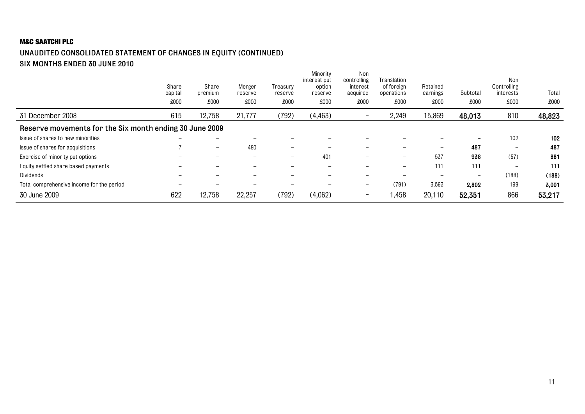#### UNAUDITED CONSOLIDATED STATEMENT OF CHANGES IN EQUITY (CONTINUED) SIX MONTHS ENDED 30 JUNE 2010

|                                                         | Share<br>capital<br>£000 | Share<br>premium<br>£000 | Merger<br>reserve<br>£000 | Treasurv<br>reserve<br>£000 | Minority<br>interest put<br>option<br>reserve<br>£000 | Non<br>controlling<br>interest<br>acquired<br>£000 | Translation<br>of foreign<br>operations<br>£000 | Retained<br>earnings<br>£000 | Subtotal<br>£000         | Non<br>Controlling<br>interests<br>£000 | Total<br>£000 |
|---------------------------------------------------------|--------------------------|--------------------------|---------------------------|-----------------------------|-------------------------------------------------------|----------------------------------------------------|-------------------------------------------------|------------------------------|--------------------------|-----------------------------------------|---------------|
| 31 December 2008                                        | 615                      | 12,758                   | 21,777                    | (792)                       | (4, 463)                                              | $\overline{\phantom{0}}$                           | 2,249                                           | 15,869                       | 48,013                   | 810                                     | 48,823        |
| Reserve movements for the Six month ending 30 June 2009 |                          |                          |                           |                             |                                                       |                                                    |                                                 |                              |                          |                                         |               |
| Issue of shares to new minorities                       | $\overline{\phantom{0}}$ | $\overline{\phantom{m}}$ | -                         |                             |                                                       |                                                    |                                                 | -                            | $\overline{\phantom{a}}$ | 102                                     | 102           |
| Issue of shares for acquisitions                        |                          | $\overline{\phantom{0}}$ | 480                       | $\overline{\phantom{m}}$    | -                                                     |                                                    | $\overline{\phantom{0}}$                        |                              | 487                      | $\qquad \qquad$                         | 487           |
| Exercise of minority put options                        |                          | -                        | $\overline{\phantom{a}}$  | $-$                         | 401                                                   | -                                                  | $\overline{\phantom{0}}$                        | 537                          | 938                      | (57)                                    | 881           |
| Equity settled share based payments                     | -                        | -                        | $\overline{\phantom{a}}$  |                             | -                                                     | -                                                  | $\overline{\phantom{0}}$                        | 111                          | 111                      | $\overline{\phantom{0}}$                | 111           |
| <b>Dividends</b>                                        |                          |                          |                           |                             |                                                       |                                                    |                                                 |                              | $\overline{\phantom{a}}$ | (188)                                   | (188)         |
| Total comprehensive income for the period               | -                        | -                        |                           |                             | $\overline{\phantom{0}}$                              | $\overline{\phantom{0}}$                           | (791)                                           | 3,593                        | 2,802                    | 199                                     | 3,001         |
| 30 June 2009                                            | 622                      | 12,758                   | 22,257                    | (792)                       | (4,062)                                               | $\overline{\phantom{0}}$                           | 1,458                                           | 20,110                       | 52,351                   | 866                                     | 53,217        |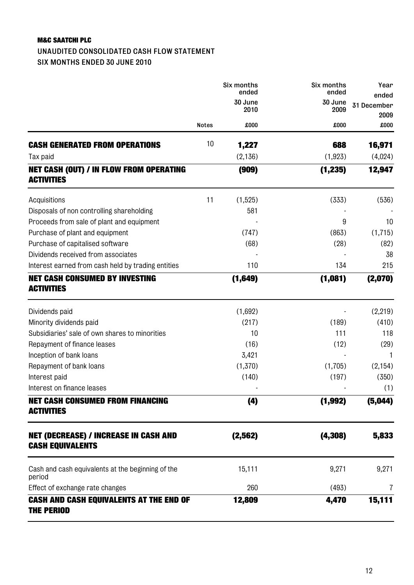#### UNAUDITED CONSOLIDATED CASH FLOW STATEMENT SIX MONTHS ENDED 30 JUNE 2010

|                                                                         |              | Six months<br>ended | Six months<br>ended | Year<br>ended       |
|-------------------------------------------------------------------------|--------------|---------------------|---------------------|---------------------|
|                                                                         |              | 30 June<br>2010     | 30 June<br>2009     | 31 December<br>2009 |
|                                                                         | <b>Notes</b> | £000                | £000                | £000                |
| <b>CASH GENERATED FROM OPERATIONS</b>                                   | 10           | 1,227               | 688                 | 16,971              |
| Tax paid                                                                |              | (2, 136)            | (1, 923)            | (4,024)             |
| <b>NET CASH (OUT) / IN FLOW FROM OPERATING</b><br><b>ACTIVITIES</b>     |              | (909)               | (1, 235)            | 12,947              |
| Acquisitions                                                            | 11           | (1,525)             | (333)               | (536)               |
| Disposals of non controlling shareholding                               |              | 581                 |                     |                     |
| Proceeds from sale of plant and equipment                               |              |                     | 9                   | 10                  |
| Purchase of plant and equipment                                         |              | (747)               | (863)               | (1,715)             |
| Purchase of capitalised software                                        |              | (68)                | (28)                | (82)                |
| Dividends received from associates                                      |              |                     |                     | 38                  |
| Interest earned from cash held by trading entities                      |              | 110                 | 134                 | 215                 |
| <b>NET CASH CONSUMED BY INVESTING</b>                                   |              | (1,649)             | (1,081)             | (2,070)             |
| <b>ACTIVITIES</b>                                                       |              |                     |                     |                     |
| Dividends paid                                                          |              | (1,692)             |                     | (2, 219)            |
| Minority dividends paid                                                 |              | (217)               | (189)               | (410)               |
| Subsidiaries' sale of own shares to minorities                          |              | 10                  | 111                 | 118                 |
| Repayment of finance leases                                             |              | (16)                | (12)                | (29)                |
| Inception of bank loans                                                 |              | 3,421               |                     | 1                   |
| Repayment of bank loans                                                 |              | (1,370)             | (1,705)             | (2, 154)            |
| Interest paid                                                           |              | (140)               | (197)               | (350)               |
| Interest on finance leases                                              |              |                     |                     | (1)                 |
| <b>NET CASH CONSUMED FROM FINANCING</b><br><b>ACTIVITIES</b>            |              | (4)                 | (1, 992)            | (5,044)             |
| <b>NET (DECREASE) / INCREASE IN CASH AND</b><br><b>CASH EQUIVALENTS</b> |              | (2, 562)            | (4, 308)            | 5,833               |
|                                                                         |              |                     |                     |                     |
| Cash and cash equivalents at the beginning of the<br>period             |              | 15,111              | 9,271               | 9,271               |
| Effect of exchange rate changes                                         |              | 260                 | (493)               | 7                   |
| <b>CASH AND CASH EQUIVALENTS AT THE END OF</b><br><b>THE PERIOD</b>     |              | 12,809              | 4,470               | 15,111              |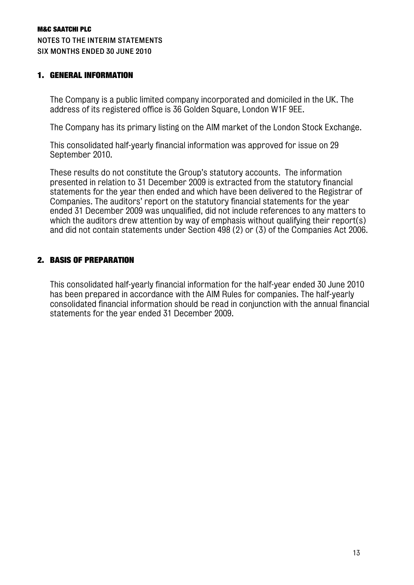#### 1. GENERAL INFORMATION

The Company is a public limited company incorporated and domiciled in the UK. The address of its registered office is 36 Golden Square, London W1F 9EE.

The Company has its primary listing on the AIM market of the London Stock Exchange.

This consolidated half-yearly financial information was approved for issue on 29 September 2010.

These results do not constitute the Group's statutory accounts. The information presented in relation to 31 December 2009 is extracted from the statutory financial statements for the year then ended and which have been delivered to the Registrar of Companies. The auditors' report on the statutory financial statements for the year ended 31 December 2009 was unqualified, did not include references to any matters to which the auditors drew attention by way of emphasis without qualifying their report(s) and did not contain statements under Section 498 (2) or (3) of the Companies Act 2006.

#### 2. BASIS OF PREPARATION

This consolidated half-yearly financial information for the half-year ended 30 June 2010 has been prepared in accordance with the AIM Rules for companies. The half-yearly consolidated financial information should be read in conjunction with the annual financial statements for the year ended 31 December 2009.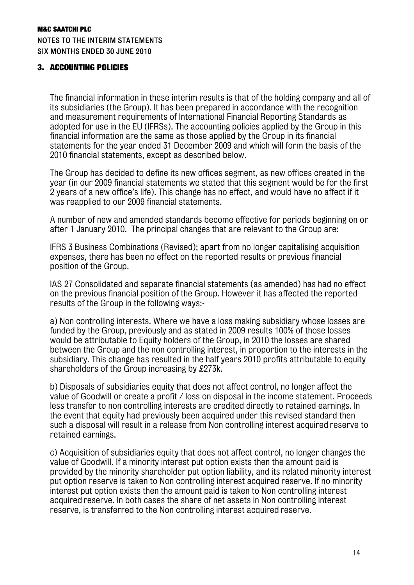#### 3. ACCOUNTING POLICIES

The financial information in these interim results is that of the holding company and all of its subsidiaries (the Group). It has been prepared in accordance with the recognition and measurement requirements of International Financial Reporting Standards as adopted for use in the EU (IFRSs). The accounting policies applied by the Group in this financial information are the same as those applied by the Group in its financial statements for the year ended 31 December 2009 and which will form the basis of the 2010 financial statements, except as described below.

The Group has decided to define its new offices segment, as new offices created in the year (in our 2009 financial statements we stated that this segment would be for the first 2 years of a new office's life). This change has no effect, and would have no affect if it was reapplied to our 2009 financial statements.

A number of new and amended standards become effective for periods beginning on or after 1 January 2010. The principal changes that are relevant to the Group are:

IFRS 3 Business Combinations (Revised); apart from no longer capitalising acquisition expenses, there has been no effect on the reported results or previous financial position of the Group.

IAS 27 Consolidated and separate financial statements (as amended) has had no effect on the previous financial position of the Group. However it has affected the reported results of the Group in the following ways:-

a) Non controlling interests. Where we have a loss making subsidiary whose losses are funded by the Group, previously and as stated in 2009 results 100% of those losses would be attributable to Equity holders of the Group, in 2010 the losses are shared between the Group and the non controlling interest, in proportion to the interests in the subsidiary. This change has resulted in the half years 2010 profits attributable to equity shareholders of the Group increasing by £273k.

b) Disposals of subsidiaries equity that does not affect control, no longer affect the value of Goodwill or create a profit / loss on disposal in the income statement. Proceeds less transfer to non controlling interests are credited directly to retained earnings. In the event that equity had previously been acquired under this revised standard then such a disposal will result in a release from Non controlling interest acquired reserve to retained earnings.

c) Acquisition of subsidiaries equity that does not affect control, no longer changes the value of Goodwill. If a minority interest put option exists then the amount paid is provided by the minority shareholder put option liability, and its related minority interest put option reserve is taken to Non controlling interest acquired reserve. If no minority interest put option exists then the amount paid is taken to Non controlling interest acquired reserve. In both cases the share of net assets in Non controlling interest reserve, is transferred to the Non controlling interest acquired reserve.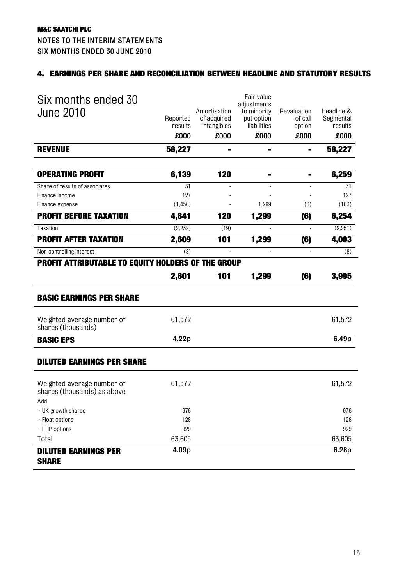#### 4. EARNINGS PER SHARE AND RECONCILIATION BETWEEN HEADLINE AND STATUTORY RESULTS

| Six months ended 30<br><b>June 2010</b>                                                      | Reported<br>results<br>£000 | Amortisation<br>of acquired<br>intangibles<br>£000 | Fair value<br>adjustments<br>to minority<br>put option<br>liabilities<br>£000 | Revaluation<br>of call<br>option<br>£000 | Headline &<br>Segmental<br>results<br>£000 |
|----------------------------------------------------------------------------------------------|-----------------------------|----------------------------------------------------|-------------------------------------------------------------------------------|------------------------------------------|--------------------------------------------|
| <b>REVENUE</b>                                                                               | 58,227                      |                                                    |                                                                               |                                          | 58,227                                     |
| <b>OPERATING PROFIT</b>                                                                      | 6,139                       | 120                                                |                                                                               |                                          | 6,259                                      |
| Share of results of associates<br>Finance income                                             | 31<br>127                   |                                                    |                                                                               |                                          | 31<br>127                                  |
| Finance expense<br><b>PROFIT BEFORE TAXATION</b>                                             | (1, 456)<br>4,841           | 120                                                | 1,299<br>1,299                                                                | (6)<br>(6)                               | (163)<br>6,254                             |
| Taxation                                                                                     | (2, 232)                    | (19)                                               |                                                                               |                                          | (2,251)                                    |
| <b>PROFIT AFTER TAXATION</b>                                                                 | 2,609                       | 101                                                | 1,299                                                                         | (6)                                      | 4,003                                      |
| Non controlling interest                                                                     | (8)                         | $\mathbf{r}$                                       | ä,                                                                            | $\mathbf{r}$                             | (8)                                        |
| <b>PROFIT ATTRIBUTABLE TO EQUITY HOLDERS OF THE GROUP</b><br><b>BASIC EARNINGS PER SHARE</b> | 2,601                       | 101                                                | 1,299                                                                         | (6)                                      | 3,995                                      |
| Weighted average number of<br>shares (thousands)                                             | 61,572                      |                                                    |                                                                               |                                          | 61,572                                     |
| <b>BASIC EPS</b>                                                                             | 4.22p                       |                                                    |                                                                               |                                          | 6.49p                                      |
| <b>DILUTED EARNINGS PER SHARE</b>                                                            |                             |                                                    |                                                                               |                                          |                                            |
| Weighted average number of<br>shares (thousands) as above<br>hhA                             | 61,572                      |                                                    |                                                                               |                                          | 61,572                                     |
| - UK growth shares                                                                           | 976                         |                                                    |                                                                               |                                          | 976                                        |
| - Float options<br>- LTIP options                                                            | 128<br>929                  |                                                    |                                                                               |                                          | 128<br>929                                 |
| Total                                                                                        | 63,605                      |                                                    |                                                                               |                                          | 63,605                                     |
| <b>DILUTED EARNINGS PER</b><br><b>SHARE</b>                                                  | 4.09p                       |                                                    |                                                                               |                                          | 6.28p                                      |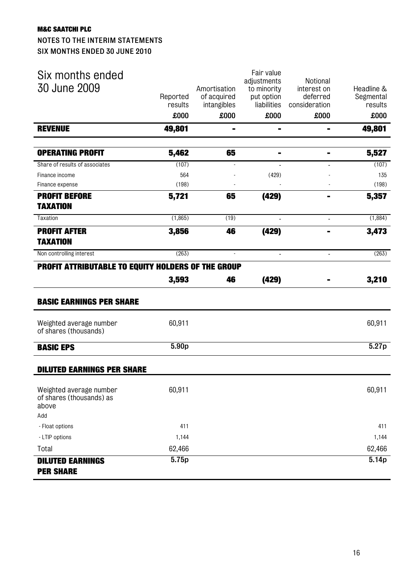#### NOTES TO THE INTERIM STATEMENTS SIX MONTHS ENDED 30 JUNE 2010

| Six months ended                                             |          |              | Fair value                 | Notional       |            |
|--------------------------------------------------------------|----------|--------------|----------------------------|----------------|------------|
| 30 June 2009                                                 |          | Amortisation | adjustments<br>to minority | interest on    | Headline & |
|                                                              | Reported | of acquired  | put option                 | deferred       | Segmental  |
|                                                              | results  | intangibles  | liabilities                | consideration  | results    |
|                                                              | £000     | £000         | £000                       | £000           | £000       |
| <b>REVENUE</b>                                               | 49,801   | ۰,           | $\blacksquare$             | ٠              | 49,801     |
| <b>OPERATING PROFIT</b>                                      | 5,462    | 65           | $\blacksquare$             |                | 5,527      |
| Share of results of associates                               | (107)    |              |                            |                | (107)      |
| Finance income                                               | 564      |              | (429)                      |                | 135        |
| Finance expense                                              | (198)    |              |                            |                | (198)      |
| <b>PROFIT BEFORE</b>                                         | 5,721    | 65           | (429)                      |                | 5,357      |
| <b>TAXATION</b>                                              |          |              |                            |                |            |
| Taxation                                                     | (1,865)  | (19)         | $\blacksquare$             | $\blacksquare$ | (1,884)    |
| <b>PROFIT AFTER</b>                                          | 3,856    | 46           | (429)                      |                | 3,473      |
| <b>TAXATION</b>                                              |          |              |                            |                |            |
| Non controlling interest                                     | (263)    | ٠            |                            |                | (263)      |
| <b>PROFIT ATTRIBUTABLE TO EQUITY HOLDERS OF THE GROUP</b>    |          |              |                            |                |            |
|                                                              | 3,593    | 46           | (429)                      |                | 3,210      |
| <b>BASIC EARNINGS PER SHARE</b>                              |          |              |                            |                |            |
| Weighted average number<br>of shares (thousands)             | 60,911   |              |                            |                | 60,911     |
| <b>BASIC EPS</b>                                             | 5.90p    |              |                            |                | 5.27p      |
| <b>DILUTED EARNINGS PER SHARE</b>                            |          |              |                            |                |            |
| Weighted average number<br>of shares (thousands) as<br>above | 60,911   |              |                            |                | 60,911     |
| Add                                                          |          |              |                            |                |            |
| - Float options                                              | 411      |              |                            |                | 411        |
| - LTIP options                                               | 1,144    |              |                            |                | 1,144      |
| Total                                                        | 62,466   |              |                            |                | 62,466     |
| <b>DILUTED EARNINGS</b><br><b>PER SHARE</b>                  | 5.75p    |              |                            |                | 5.14p      |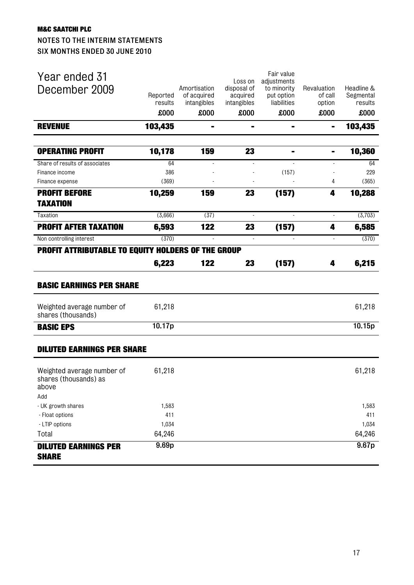#### NOTES TO THE INTERIM STATEMENTS SIX MONTHS ENDED 30 JUNE 2010

| <b>DILUTED EARNINGS PER</b><br><b>SHARE</b>               |                     |                                 |                         |                                          |                          |                      |
|-----------------------------------------------------------|---------------------|---------------------------------|-------------------------|------------------------------------------|--------------------------|----------------------|
|                                                           | 9.69 <sub>p</sub>   |                                 |                         |                                          |                          | 9.67p                |
| - LTIP options<br>Total                                   | 1,034<br>64,246     |                                 |                         |                                          |                          | 1,034<br>64,246      |
| - Float options                                           | 411                 |                                 |                         |                                          |                          | 411                  |
| - UK growth shares                                        | 1,583               |                                 |                         |                                          |                          | 1,583                |
| above<br>Add                                              |                     |                                 |                         |                                          |                          |                      |
| Weighted average number of<br>shares (thousands) as       | 61,218              |                                 |                         |                                          |                          | 61,218               |
| <b>DILUTED EARNINGS PER SHARE</b>                         |                     |                                 |                         |                                          |                          |                      |
| <b>BASIC EPS</b>                                          | 10.17p              |                                 |                         |                                          |                          | 10.15p               |
| Weighted average number of<br>shares (thousands)          | 61,218              |                                 |                         |                                          |                          | 61,218               |
| <b>BASIC EARNINGS PER SHARE</b>                           |                     |                                 |                         |                                          |                          |                      |
| <b>PROFIT ATTRIBUTABLE TO EQUITY HOLDERS OF THE GROUP</b> | 6,223               | 122                             | 23                      | (157)                                    | 4                        | 6,215                |
| Non controlling interest                                  | (370)               | $\sim$                          | $\blacksquare$          |                                          | $\blacksquare$           | (370)                |
| <b>PROFIT AFTER TAXATION</b>                              | 6,593               | 122                             | 23                      | (157)                                    | 4                        | 6,585                |
| Taxation                                                  | (3,666)             | (37)                            |                         |                                          | $\omega$                 | (3,703)              |
| TAXATION                                                  |                     |                                 |                         |                                          |                          |                      |
| <b>PROFIT BEFORE</b>                                      | 10,259              | 159                             | 23                      | (157)                                    | 4                        | 10,288               |
| Finance expense                                           | (369)               |                                 |                         |                                          | 4                        | (365)                |
| Finance income                                            | 386                 |                                 |                         | (157)                                    |                          | 229                  |
| <b>OPERATING PROFIT</b><br>Share of results of associates | 10,178<br>64        | 159<br>$\overline{\phantom{a}}$ | 23                      | ۰                                        | $\overline{\phantom{a}}$ | 10,360<br>64         |
| <b>REVENUE</b>                                            | 103,435             | $\blacksquare$                  | Ξ.                      | $\blacksquare$                           | $\blacksquare$           | 103,435              |
|                                                           | £000                | £000                            | £000                    | £000                                     | £000                     | £000                 |
|                                                           | Reported<br>results | of acquired<br>intangibles      | acquired<br>intangibles | put option<br>liabilities                | of call<br>option        | Segmental<br>results |
| Year ended 31<br>December 2009                            |                     | Amortisation                    | Loss on<br>disposal of  | Fair value<br>adjustments<br>to minority | Revaluation              | Headline &           |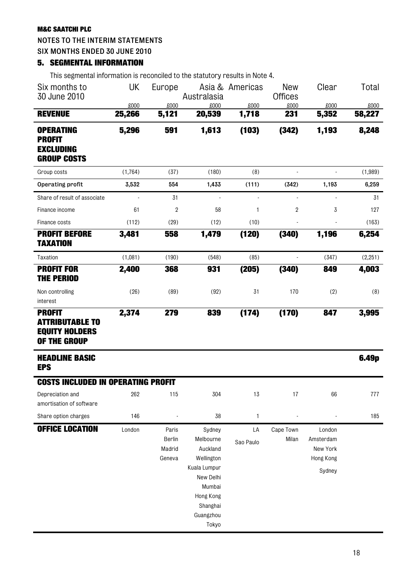#### NOTES TO THE INTERIM STATEMENTS

SIX MONTHS ENDED 30 JUNE 2010

#### 5. SEGMENTAL INFORMATION

This segmental information is reconciled to the statutory results in Note 4.

| Six months to<br>30 June 2010                                                    | UK             | Europe                              | Australasia                                                                                                                | Asia & Americas | <b>New</b><br><b>Offices</b> | Clear                                                  | Total          |
|----------------------------------------------------------------------------------|----------------|-------------------------------------|----------------------------------------------------------------------------------------------------------------------------|-----------------|------------------------------|--------------------------------------------------------|----------------|
| <b>REVENUE</b>                                                                   | £000<br>25,266 | £000<br>5,121                       | £000<br>20,539                                                                                                             | £000<br>1,718   | £000<br>231                  | £000<br>5,352                                          | £000<br>58,227 |
| <b>OPERATING</b><br><b>PROFIT</b><br><b>EXCLUDING</b><br><b>GROUP COSTS</b>      | 5,296          | 591                                 | 1,613                                                                                                                      | (103)           | (342)                        | 1,193                                                  | 8,248          |
| Group costs                                                                      | (1,764)        | (37)                                | (180)                                                                                                                      | (8)             |                              |                                                        | (1,989)        |
| Operating profit                                                                 | 3,532          | 554                                 | 1,433                                                                                                                      | (111)           | (342)                        | 1,193                                                  | 6,259          |
| Share of result of associate                                                     |                | 31                                  | ÷                                                                                                                          | ÷               | $\blacksquare$               | $\blacksquare$                                         | 31             |
| Finance income                                                                   | 61             | 2                                   | 58                                                                                                                         | 1               | 2                            | 3                                                      | 127            |
| Finance costs                                                                    | (112)          | (29)                                | (12)                                                                                                                       | (10)            |                              |                                                        | (163)          |
| <b>PROFIT BEFORE</b><br><b>TAXATION</b>                                          | 3,481          | 558                                 | 1,479                                                                                                                      | (120)           | (340)                        | 1,196                                                  | 6,254          |
| Taxation                                                                         | (1,081)        | (190)                               | (548)                                                                                                                      | (85)            |                              | (347)                                                  | (2,251)        |
| <b>PROFIT FOR</b><br><b>THE PERIOD</b>                                           | 2,400          | 368                                 | 931                                                                                                                        | (205)           | (340)                        | 849                                                    | 4,003          |
| Non controlling<br>interest                                                      | (26)           | (89)                                | (92)                                                                                                                       | 31              | 170                          | (2)                                                    | (8)            |
| <b>PROFIT</b><br><b>ATTRIBUTABLE TO</b><br><b>EQUITY HOLDERS</b><br>OF THE GROUP | 2,374          | 279                                 | 839                                                                                                                        | (174)           | (170)                        | 847                                                    | 3,995          |
| <b>HEADLINE BASIC</b><br><b>EPS</b>                                              |                |                                     |                                                                                                                            |                 |                              |                                                        | 6.49p          |
| <b>COSTS INCLUDED IN OPERATING PROFIT</b>                                        |                |                                     |                                                                                                                            |                 |                              |                                                        |                |
| Depreciation and<br>amortisation of software                                     | 262            | 115                                 | 304                                                                                                                        | 13              | 17                           | 66                                                     | 777            |
| Share option charges                                                             | 146            |                                     | 38                                                                                                                         | $\mathbf{1}$    |                              |                                                        | 185            |
| <b>OFFICE LOCATION</b>                                                           | London         | Paris<br>Berlin<br>Madrid<br>Geneva | Sydney<br>Melbourne<br>Auckland<br>Wellington<br>Kuala Lumpur<br>New Delhi<br>Mumbai<br>Hong Kong<br>Shanghai<br>Guangzhou | LA<br>Sao Paulo | Cape Town<br>Milan           | London<br>Amsterdam<br>New York<br>Hong Kong<br>Sydney |                |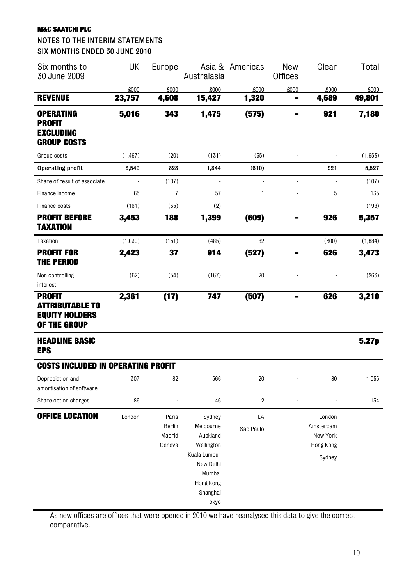#### NOTES TO THE INTERIM STATEMENTS SIX MONTHS ENDED 30 JUNE 2010

| Six months to<br>30 June 2009                                                    | UK       | Europe                              | Australasia                                                                                                   | Asia & Americas  | <b>New</b><br><b>Offices</b> | Clear                                                  | Total   |
|----------------------------------------------------------------------------------|----------|-------------------------------------|---------------------------------------------------------------------------------------------------------------|------------------|------------------------------|--------------------------------------------------------|---------|
|                                                                                  | £000     | £000                                | £000                                                                                                          | £000             | £000                         | £000                                                   | £000    |
| <b>REVENUE</b>                                                                   | 23,757   | 4,608                               | 15,427                                                                                                        | 1,320            |                              | 4,689                                                  | 49,801  |
| <b>OPERATING</b>                                                                 | 5,016    | 343                                 | 1,475                                                                                                         | (575)            | ٠                            | 921                                                    | 7,180   |
| <b>PROFIT</b>                                                                    |          |                                     |                                                                                                               |                  |                              |                                                        |         |
| <b>EXCLUDING</b><br><b>GROUP COSTS</b>                                           |          |                                     |                                                                                                               |                  |                              |                                                        |         |
| Group costs                                                                      | (1, 467) | (20)                                | (131)                                                                                                         | (35)             | $\blacksquare$               | $\overline{a}$                                         | (1,653) |
| Operating profit                                                                 | 3,549    | 323                                 | 1,344                                                                                                         | (610)            | $\overline{\phantom{0}}$     | 921                                                    | 5,527   |
| Share of result of associate                                                     |          | (107)                               | $\blacksquare$                                                                                                | ÷                | $\blacksquare$               |                                                        | (107)   |
| Finance income                                                                   | 65       | $\overline{1}$                      | 57                                                                                                            | 1                |                              | 5                                                      | 135     |
| Finance costs                                                                    | (161)    | (35)                                | (2)                                                                                                           |                  | $\blacksquare$               |                                                        | (198)   |
| <b>PROFIT BEFORE</b><br>TAXATION                                                 | 3,453    | 188                                 | 1,399                                                                                                         | (609)            | $\blacksquare$               | 926                                                    | 5,357   |
| Taxation                                                                         | (1,030)  | (151)                               | (485)                                                                                                         | 82               | $\Box$                       | (300)                                                  | (1,884) |
| <b>PROFIT FOR</b><br><b>THE PERIOD</b>                                           | 2,423    | 37                                  | 914                                                                                                           | (527)            |                              | 626                                                    | 3,473   |
| Non controlling<br>interest                                                      | (62)     | (54)                                | (167)                                                                                                         | 20               |                              |                                                        | (263)   |
| <b>PROFIT</b><br><b>ATTRIBUTABLE TO</b><br><b>EQUITY HOLDERS</b><br>OF THE GROUP | 2,361    | (17)                                | 747                                                                                                           | (507)            |                              | 626                                                    | 3,210   |
| <b>HEADLINE BASIC</b><br><b>EPS</b>                                              |          |                                     |                                                                                                               |                  |                              |                                                        | 5.27p   |
| <b>COSTS INCLUDED IN OPERATING PROFIT</b>                                        |          |                                     |                                                                                                               |                  |                              |                                                        |         |
| Depreciation and<br>amortisation of software                                     | 307      | 82                                  | 566                                                                                                           | 20               |                              | 80                                                     | 1,055   |
| Share option charges                                                             | 86       |                                     | 46                                                                                                            | $\boldsymbol{2}$ |                              |                                                        | 134     |
| <b>OFFICE LOCATION</b>                                                           | London   | Paris<br>Berlin<br>Madrid<br>Geneva | Sydney<br>Melbourne<br>Auckland<br>Wellington<br>Kuala Lumpur<br>New Delhi<br>Mumbai<br>Hong Kong<br>Shanghai | LA<br>Sao Paulo  |                              | London<br>Amsterdam<br>New York<br>Hong Kong<br>Sydney |         |

As new offices are offices that were opened in 2010 we have reanalysed this data to give the correct comparative.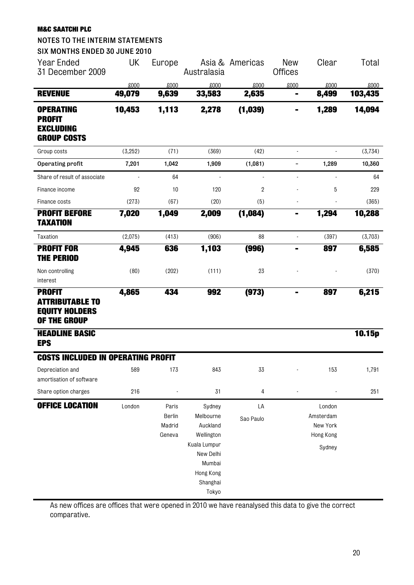| <b>NOTES TO THE INTERIM STATEMENTS</b><br>SIX MONTHS ENDED 30 JUNE 2010          |         |                                     |                                                                                                                        |                 |                              |                                                        |         |
|----------------------------------------------------------------------------------|---------|-------------------------------------|------------------------------------------------------------------------------------------------------------------------|-----------------|------------------------------|--------------------------------------------------------|---------|
| <b>Year Ended</b><br>31 December 2009                                            | UK      | Europe                              | Asia &<br>Australasia                                                                                                  | Americas        | <b>New</b><br><b>Offices</b> | Clear                                                  | Total   |
|                                                                                  | £000    | £000                                | £000                                                                                                                   | £000            | £000                         | £000                                                   | £000    |
| <b>REVENUE</b>                                                                   | 49,079  | 9,639                               | 33,583                                                                                                                 | 2,635           | $\qquad \qquad \blacksquare$ | 8,499                                                  | 103,435 |
| <b>OPERATING</b><br><b>PROFIT</b><br><b>EXCLUDING</b><br><b>GROUP COSTS</b>      | 10,453  | 1,113                               | 2,278                                                                                                                  | (1,039)         |                              | 1,289                                                  | 14,094  |
| Group costs                                                                      | (3,252) | (71)                                | (369)                                                                                                                  | (42)            | ä,                           | $\sim$                                                 | (3,734) |
| Operating profit                                                                 | 7,201   | 1,042                               | 1,909                                                                                                                  | (1,081)         | -                            | 1,289                                                  | 10,360  |
| Share of result of associate                                                     |         | 64                                  | $\blacksquare$                                                                                                         |                 | ÷,                           | $\overline{\phantom{a}}$                               | 64      |
| Finance income                                                                   | 92      | 10                                  | 120                                                                                                                    | $\overline{2}$  |                              | 5                                                      | 229     |
| Finance costs                                                                    | (273)   | (67)                                | (20)                                                                                                                   | (5)             |                              |                                                        | (365)   |
| <b>PROFIT BEFORE</b><br><b>TAXATION</b>                                          | 7,020   | 1,049                               | 2,009                                                                                                                  | (1,084)         | ۰                            | 1,294                                                  | 10,288  |
| Taxation                                                                         | (2,075) | (413)                               | (906)                                                                                                                  | 88              | ä,                           | (397)                                                  | (3,703) |
| <b>PROFIT FOR</b><br><b>THE PERIOD</b>                                           | 4,945   | 636                                 | 1,103                                                                                                                  | (996)           | $\blacksquare$               | 897                                                    | 6,585   |
| Non controlling<br>interest                                                      | (80)    | (202)                               | (111)                                                                                                                  | 23              |                              |                                                        | (370)   |
| <b>PROFIT</b><br><b>ATTRIBUTABLE TO</b><br><b>EQUITY HOLDERS</b><br>OF THE GROUP | 4,865   | 434                                 | 992                                                                                                                    | (973)           |                              | 897                                                    | 6,215   |
| <b>HEADLINE BASIC</b><br><b>EPS</b>                                              |         |                                     |                                                                                                                        |                 |                              |                                                        | 10.15p  |
| <b>COSTS INCLUDED IN OPERATING PROFIT</b>                                        |         |                                     |                                                                                                                        |                 |                              |                                                        |         |
| Depreciation and<br>amortisation of software                                     | 589     | 173                                 | 843                                                                                                                    | 33              |                              | 153                                                    | 1,791   |
| Share option charges                                                             | 216     |                                     | 31                                                                                                                     | 4               |                              |                                                        | 251     |
| <b>OFFICE LOCATION</b>                                                           | London  | Paris<br>Berlin<br>Madrid<br>Geneva | Sydney<br>Melbourne<br>Auckland<br>Wellington<br>Kuala Lumpur<br>New Delhi<br>Mumbai<br>Hong Kong<br>Shanghai<br>Tokyo | LA<br>Sao Paulo |                              | London<br>Amsterdam<br>New York<br>Hong Kong<br>Sydney |         |

As new offices are offices that were opened in 2010 we have reanalysed this data to give the correct comparative.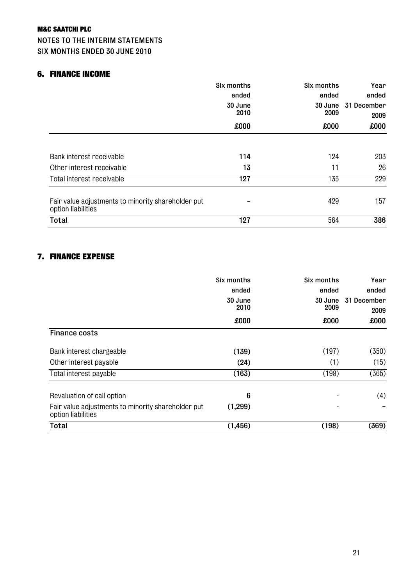#### NOTES TO THE INTERIM STATEMENTS SIX MONTHS ENDED 30 JUNE 2010

#### 6. FINANCE INCOME

|                                                                          | Six months               | Six months               | Year<br>ended<br>31 December<br>2009 |
|--------------------------------------------------------------------------|--------------------------|--------------------------|--------------------------------------|
|                                                                          | ended<br>30 June<br>2010 | ended<br>30 June<br>2009 |                                      |
|                                                                          |                          |                          |                                      |
|                                                                          | £000                     | 000x                     | £000                                 |
|                                                                          |                          |                          |                                      |
| Bank interest receivable                                                 | 114                      | 124                      | 203                                  |
| Other interest receivable                                                | 13                       | 11                       | 26                                   |
| Total interest receivable                                                | 127                      | 135                      | 229                                  |
| Fair value adjustments to minority shareholder put<br>option liabilities |                          | 429                      | 157                                  |
| <b>Total</b>                                                             | 127                      | 564                      | 386                                  |

#### 7. FINANCE EXPENSE

|                                                                          | Six months<br>ended<br>30 June<br>2010 | Six months<br>ended<br>30 June<br>2009 | Year<br>ended<br>31 December |
|--------------------------------------------------------------------------|----------------------------------------|----------------------------------------|------------------------------|
|                                                                          | £000                                   | £000                                   | 2009<br>£000                 |
| <b>Finance costs</b>                                                     |                                        |                                        |                              |
| Bank interest chargeable                                                 | (139)                                  | (197)                                  | (350)                        |
| Other interest payable                                                   | (24)                                   | (1)                                    | (15)                         |
| Total interest payable                                                   | (163)                                  | (198)                                  | (365)                        |
| Revaluation of call option                                               | 6                                      |                                        | (4)                          |
| Fair value adjustments to minority shareholder put<br>option liabilities | (1, 299)                               |                                        |                              |
| <b>Total</b>                                                             | (1, 456)                               | (198)                                  | (369)                        |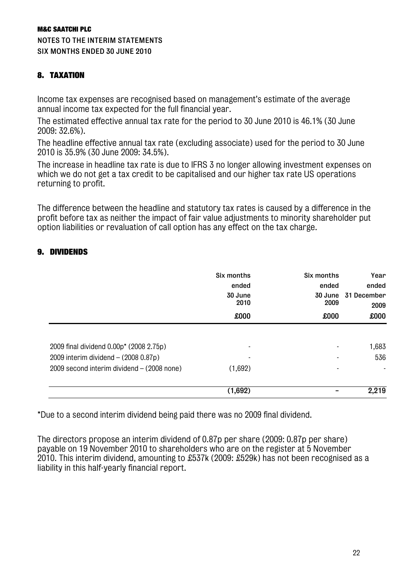NOTES TO THE INTERIM STATEMENTS SIX MONTHS ENDED 30 JUNE 2010

#### 8. TAXATION

Income tax expenses are recognised based on management's estimate of the average annual income tax expected for the full financial year.

The estimated effective annual tax rate for the period to 30 June 2010 is 46.1% (30 June 2009: 32.6%).

The headline effective annual tax rate (excluding associate) used for the period to 30 June 2010 is 35.9% (30 June 2009: 34.5%).

The increase in headline tax rate is due to IFRS 3 no longer allowing investment expenses on which we do not get a tax credit to be capitalised and our higher tax rate US operations returning to profit.

The difference between the headline and statutory tax rates is caused by a difference in the profit before tax as neither the impact of fair value adjustments to minority shareholder put option liabilities or revaluation of call option has any effect on the tax charge.

#### 9. DIVIDENDS

|                                                | Six months<br>ended<br>30 June<br>2010 | Six months<br>ended | Year<br>ended<br>30 June 31 December<br>2009 |
|------------------------------------------------|----------------------------------------|---------------------|----------------------------------------------|
|                                                |                                        | 2009                |                                              |
|                                                | £000                                   | £000                | £000                                         |
|                                                |                                        |                     |                                              |
| 2009 final dividend 0.00p* (2008 2.75p)        | $\overline{\phantom{a}}$               |                     | 1,683                                        |
| 2009 interim dividend $- (2008 0.87p)$         |                                        |                     | 536                                          |
| $2009$ second interim dividend $-$ (2008 none) | (1,692)                                |                     |                                              |
|                                                | (1,692)                                |                     | 2,219                                        |

\*Due to a second interim dividend being paid there was no 2009 final dividend.

The directors propose an interim dividend of 0.87p per share (2009: 0.87p per share) payable on 19 November 2010 to shareholders who are on the register at 5 November 2010. This interim dividend, amounting to £537k (2009: £529k) has not been recognised as a liability in this half-yearly financial report.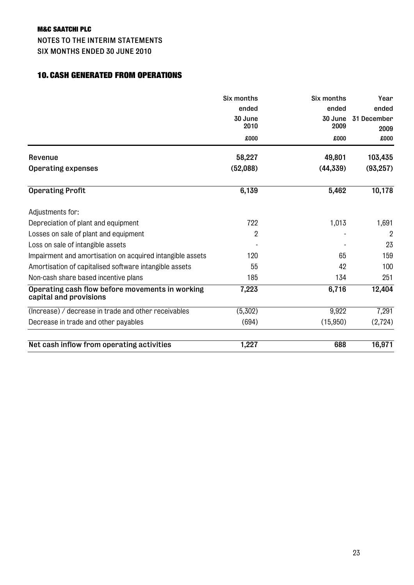NOTES TO THE INTERIM STATEMENTS SIX MONTHS ENDED 30 JUNE 2010

#### 10. CASH GENERATED FROM OPERATIONS

|                                                                           | Six months | Six months | Year<br>ended  |
|---------------------------------------------------------------------------|------------|------------|----------------|
|                                                                           | ended      | ended      |                |
|                                                                           | 30 June    | 30 June    | 31 December    |
|                                                                           | 2010       | 2009       | 2009           |
|                                                                           | £000       | £000       | 000x           |
| Revenue                                                                   | 58,227     | 49,801     | 103,435        |
| <b>Operating expenses</b>                                                 | (52,088)   | (44, 339)  | (93, 257)      |
| <b>Operating Profit</b>                                                   | 6,139      | 5,462      | 10,178         |
| Adjustments for:                                                          |            |            |                |
| Depreciation of plant and equipment                                       | 722        | 1,013      | 1,691          |
| Losses on sale of plant and equipment                                     | 2          |            | $\overline{2}$ |
| Loss on sale of intangible assets                                         |            |            | 23             |
| Impairment and amortisation on acquired intangible assets                 | 120        | 65         | 159            |
| Amortisation of capitalised software intangible assets                    | 55         | 42         | 100            |
| Non-cash share based incentive plans                                      | 185        | 134        | 251            |
| Operating cash flow before movements in working<br>capital and provisions | 7,223      | 6,716      | 12,404         |
| (Increase) / decrease in trade and other receivables                      | (5,302)    | 9,922      | 7,291          |
| Decrease in trade and other payables                                      | (694)      | (15,950)   | (2,724)        |
| Net cash inflow from operating activities                                 | 1,227      | 688        | 16,971         |